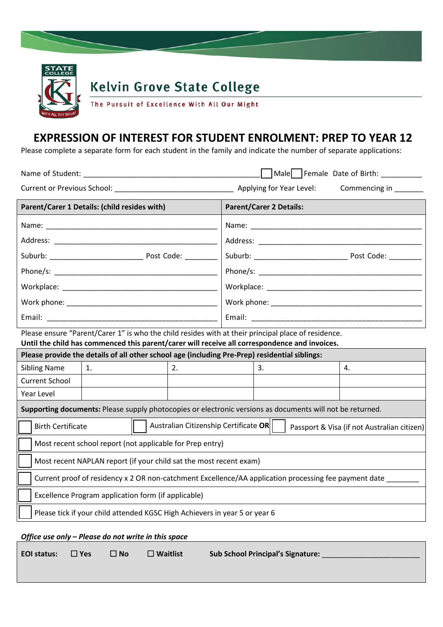

## **Kelvin Grove State College**

The Pursuit of Excellence With All Our Might

## **EXPRESSION OF INTEREST FOR STUDENT ENROLMENT: PREP TO YEAR 12**

Please complete a separate form for each student in the family and indicate the number of separate applications:

| Name of Student:                                                                                                                                                                                     |                                                                   |  |    |                                             | Male Female Date of Birth: __________ |  |    |  |
|------------------------------------------------------------------------------------------------------------------------------------------------------------------------------------------------------|-------------------------------------------------------------------|--|----|---------------------------------------------|---------------------------------------|--|----|--|
| Current or Previous School: Applying for Year Level:                                                                                                                                                 |                                                                   |  |    |                                             | Commencing in                         |  |    |  |
| Parent/Carer 1 Details: (child resides with)                                                                                                                                                         |                                                                   |  |    | <b>Parent/Carer 2 Details:</b>              |                                       |  |    |  |
|                                                                                                                                                                                                      |                                                                   |  |    |                                             |                                       |  |    |  |
|                                                                                                                                                                                                      |                                                                   |  |    |                                             |                                       |  |    |  |
|                                                                                                                                                                                                      |                                                                   |  |    |                                             |                                       |  |    |  |
|                                                                                                                                                                                                      |                                                                   |  |    |                                             |                                       |  |    |  |
|                                                                                                                                                                                                      |                                                                   |  |    |                                             |                                       |  |    |  |
|                                                                                                                                                                                                      |                                                                   |  |    |                                             |                                       |  |    |  |
|                                                                                                                                                                                                      |                                                                   |  |    |                                             |                                       |  |    |  |
| Please ensure "Parent/Carer 1" is who the child resides with at their principal place of residence.<br>Until the child has commenced this parent/carer will receive all correspondence and invoices. |                                                                   |  |    |                                             |                                       |  |    |  |
| Please provide the details of all other school age (including Pre-Prep) residential siblings:                                                                                                        |                                                                   |  |    |                                             |                                       |  |    |  |
| <b>Sibling Name</b>                                                                                                                                                                                  | 1.                                                                |  | 2. |                                             | 3.                                    |  | 4. |  |
| <b>Current School</b>                                                                                                                                                                                |                                                                   |  |    |                                             |                                       |  |    |  |
| Year Level                                                                                                                                                                                           |                                                                   |  |    |                                             |                                       |  |    |  |
| Supporting documents: Please supply photocopies or electronic versions as documents will not be returned.                                                                                            |                                                                   |  |    |                                             |                                       |  |    |  |
|                                                                                                                                                                                                      | Australian Citizenship Certificate OR<br><b>Birth Certificate</b> |  |    | Passport & Visa (if not Australian citizen) |                                       |  |    |  |
| Most recent school report (not applicable for Prep entry)                                                                                                                                            |                                                                   |  |    |                                             |                                       |  |    |  |
| Most recent NAPLAN report (if your child sat the most recent exam)                                                                                                                                   |                                                                   |  |    |                                             |                                       |  |    |  |
| Current proof of residency x 2 OR non-catchment Excellence/AA application processing fee payment date                                                                                                |                                                                   |  |    |                                             |                                       |  |    |  |
| Excellence Program application form (if applicable)                                                                                                                                                  |                                                                   |  |    |                                             |                                       |  |    |  |
| Please tick if your child attended KGSC High Achievers in year 5 or year 6                                                                                                                           |                                                                   |  |    |                                             |                                       |  |    |  |
|                                                                                                                                                                                                      |                                                                   |  |    |                                             |                                       |  |    |  |

*Office use only – Please do not write in this space*

| EOI status: |  |
|-------------|--|
|             |  |

**EOI status: Yes No Waitlist Sub School Principal's Signature:** \_\_\_\_\_\_\_\_\_\_\_\_\_\_\_\_\_\_\_\_\_\_\_\_